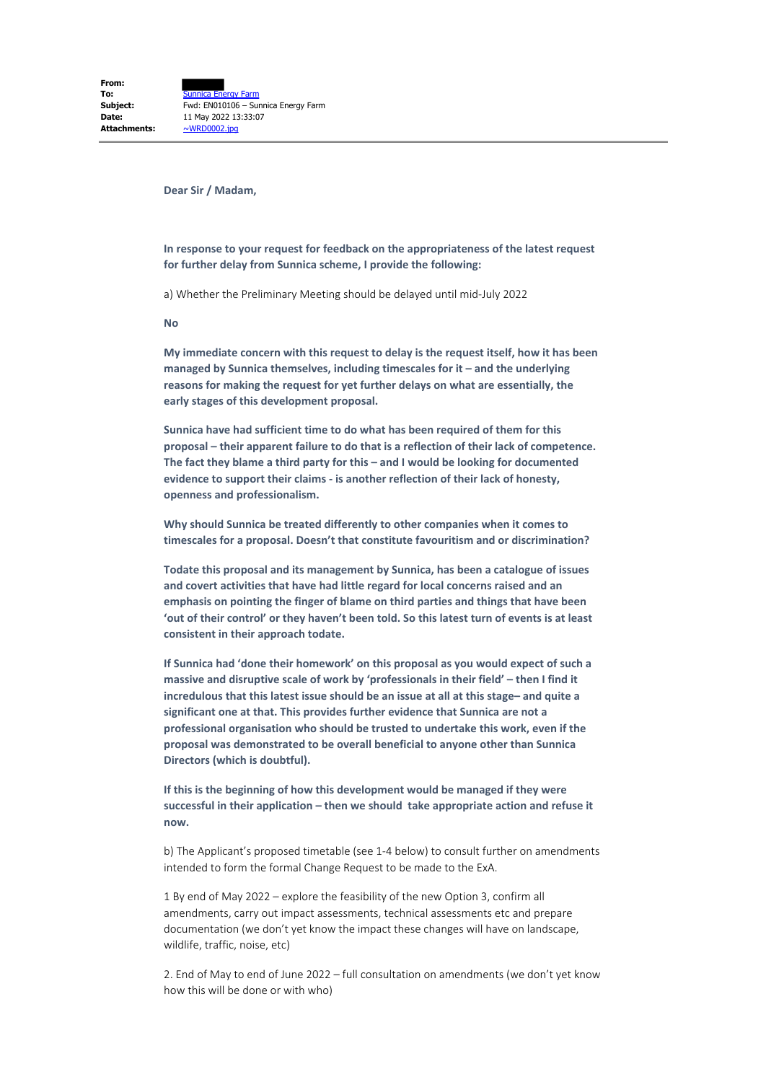**Dear Sir / Madam,**

**In response to your request for feedback on the appropriateness of the latest request for further delay from Sunnica scheme, I provide the following:**

a) Whether the Preliminary Meeting should be delayed until mid-July 2022

**No**

**My immediate concern with this request to delay is the request itself, how it has been managed by Sunnica themselves, including timescales for it – and the underlying reasons for making the request for yet further delays on what are essentially, the early stages of this development proposal.**

**Sunnica have had sufficient time to do what has been required of them for this proposal – their apparent failure to do that is a reflection of their lack of competence. The fact they blame a third party for this – and I would be looking for documented evidence to support their claims - is another reflection of their lack of honesty, openness and professionalism.**

**Why should Sunnica be treated differently to other companies when it comes to timescales for a proposal. Doesn't that constitute favouritism and or discrimination?**

**Todate this proposal and its management by Sunnica, has been a catalogue of issues and covert activities that have had little regard for local concerns raised and an emphasis on pointing the finger of blame on third parties and things that have been 'out of their control' or they haven't been told. So this latest turn of events is at least consistent in their approach todate.**

**If Sunnica had 'done their homework' on this proposal as you would expect of such a massive and disruptive scale of work by 'professionals in their field' – then I find it incredulous that this latest issue should be an issue at all at this stage– and quite a significant one at that. This provides further evidence that Sunnica are not a professional organisation who should be trusted to undertake this work, even if the proposal was demonstrated to be overall beneficial to anyone other than Sunnica Directors (which is doubtful).**

**If this is the beginning of how this development would be managed if they were successful in their application – then we should take appropriate action and refuse it now.**

b) The Applicant's proposed timetable (see 1-4 below) to consult further on amendments intended to form the formal Change Request to be made to the ExA.

1 By end of May 2022 – explore the feasibility of the new Option 3, confirm all amendments, carry out impact assessments, technical assessments etc and prepare documentation (we don't yet know the impact these changes will have on landscape, wildlife, traffic, noise, etc)

2. End of May to end of June 2022 – full consultation on amendments (we don't yet know how this will be done or with who)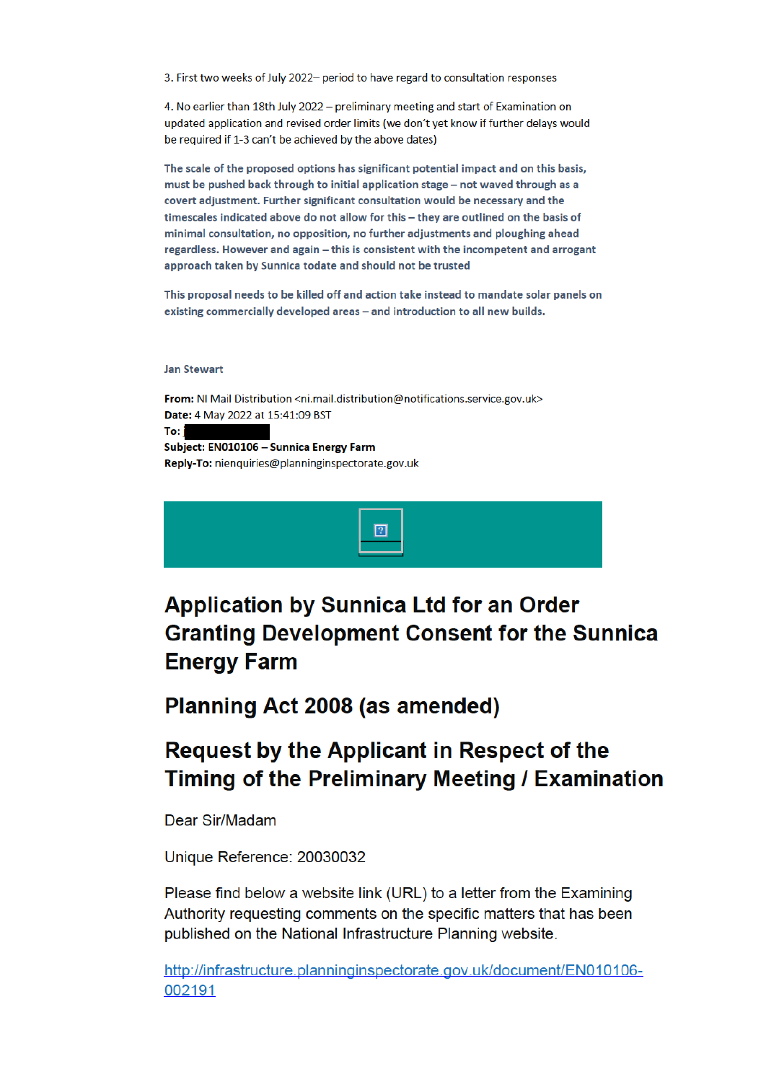3. First two weeks of July 2022- period to have regard to consultation responses

4. No earlier than 18th July 2022 - preliminary meeting and start of Examination on updated application and revised order limits (we don't yet know if further delays would be required if 1-3 can't be achieved by the above dates)

The scale of the proposed options has significant potential impact and on this basis, must be pushed back through to initial application stage - not waved through as a covert adjustment. Further significant consultation would be necessary and the timescales indicated above do not allow for this - they are outlined on the basis of minimal consultation, no opposition, no further adjustments and ploughing ahead regardless. However and again - this is consistent with the incompetent and arrogant approach taken by Sunnica todate and should not be trusted

This proposal needs to be killed off and action take instead to mandate solar panels on existing commercially developed areas - and introduction to all new builds.

## **Jan Stewart**

From: NI Mail Distribution <ni.mail.distribution@notifications.service.gov.uk> Date: 4 May 2022 at 15:41:09 BST To: i

Subject: EN010106 - Sunnica Energy Farm Reply-To: nienquiries@planninginspectorate.gov.uk



## **Application by Sunnica Ltd for an Order Granting Development Consent for the Sunnica Energy Farm**

Planning Act 2008 (as amended)

## **Request by the Applicant in Respect of the** Timing of the Preliminary Meeting / Examination

Dear Sir/Madam

Unique Reference: 20030032

Please find below a website link (URL) to a letter from the Examining Authority requesting comments on the specific matters that has been published on the National Infrastructure Planning website.

http://infrastructure.planninginspectorate.gov.uk/document/EN010106-002191